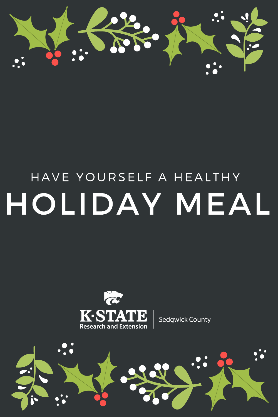

# HAVE YOURSELF A HEALTHY HOLIDAY MEAL



Sedgwick County

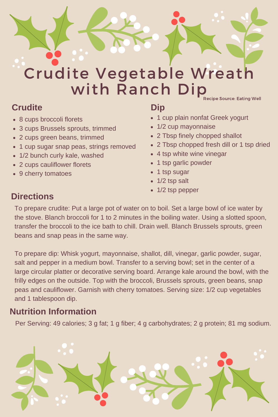

# Crudite Vegetable Wreath with Ranch Dip Recipe Source: Eating Well

### **Crudite**

- 8 cups broccoli florets
- 3 cups Brussels sprouts, trimmed  $\bullet$
- 2 cups green beans, trimmed
- 1 cup sugar snap peas, strings removed
- 1/2 bunch curly kale, washed  $\bullet$
- 2 cups cauliflower florets
- 9 cherry tomatoes

# **Dip**

- 1 cup plain nonfat Greek yogurt
- 1/2 cup mayonnaise
- 2 Tbsp finely chopped shallot
- 2 Tbsp chopped fresh dill or 1 tsp dried
- 4 tsp white wine vinegar
- 1 tsp garlic powder
- 1 tsp sugar
- 1/2 tsp salt
- 1/2 tsp pepper

### **Directions**

To prepare crudite: Put a large pot of water on to boil. Set a large bowl of ice water by the stove. Blanch broccoli for 1 to 2 minutes in the boiling water. Using a slotted spoon, transfer the broccoli to the ice bath to chill. Drain well. Blanch Brussels sprouts, green beans and snap peas in the same way.

To prepare dip: Whisk yogurt, mayonnaise, shallot, dill, vinegar, garlic powder, sugar, salt and pepper in a medium bowl. Transfer to a serving bowl; set in the center of a large circular platter or decorative serving board. Arrange kale around the bowl, with the frilly edges on the outside. Top with the broccoli, Brussels sprouts, green beans, snap peas and cauliflower. Garnish with cherry tomatoes. Serving size: 1/2 cup vegetables and 1 tablespoon dip.

#### **Nutrition Information**

Per Serving: 49 calories; 3 g fat; 1 g fiber; 4 g carbohydrates; 2 g protein; 81 mg sodium.

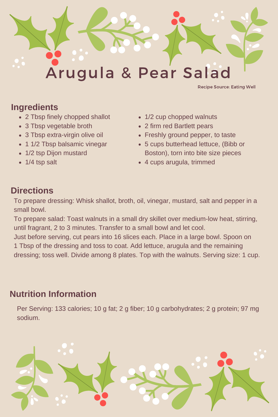

Recipe Source: Eating Well

#### **Ingredients**

- 2 Tbsp finely chopped shallot
- 3 Tbsp vegetable broth
- 3 Tbsp extra-virgin olive oil
- 1 1/2 Tbsp balsamic vinegar
- 1/2 tsp Dijon mustard
- 1/4 tsp salt
- 1/2 cup chopped walnuts
- 2 firm red Bartlett pears
- Freshly ground pepper, to taste
- 5 cups butterhead lettuce, (Bibb or Boston), torn into bite size pieces
- 4 cups arugula, trimmed

# **Directions**

To prepare dressing: Whisk shallot, broth, oil, vinegar, mustard, salt and pepper in a small bowl.

To prepare salad: Toast walnuts in a small dry skillet over medium-low heat, stirring, until fragrant, 2 to 3 minutes. Transfer to a small bowl and let cool.

Just before serving, cut pears into 16 slices each. Place in a large bowl. Spoon on 1 Tbsp of the dressing and toss to coat. Add lettuce, arugula and the remaining dressing; toss well. Divide among 8 plates. Top with the walnuts. Serving size: 1 cup.

#### **Nutrition Information**

Per Serving: 133 calories; 10 g fat; 2 g fiber; 10 g carbohydrates; 2 g protein; 97 mg sodium.

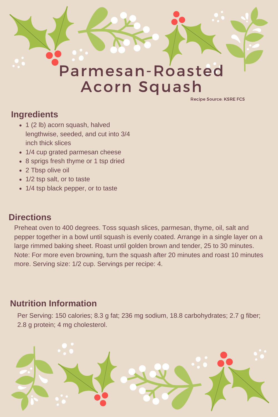

Recipe Source: KSRE FCS

### **Ingredients**

- 1 (2 lb) acorn squash, halved lengthwise, seeded, and cut into 3/4 inch thick slices
- 1/4 cup grated parmesan cheese
- 8 sprigs fresh thyme or 1 tsp dried
- 2 Tbsp olive oil
- 1/2 tsp salt, or to taste
- 1/4 tsp black pepper, or to taste

# **Directions**

Preheat oven to 400 degrees. Toss squash slices, parmesan, thyme, oil, salt and pepper together in a bowl until squash is evenly coated. Arrange in a single layer on a large rimmed baking sheet. Roast until golden brown and tender, 25 to 30 minutes. Note: For more even browning, turn the squash after 20 minutes and roast 10 minutes more. Serving size: 1/2 cup. Servings per recipe: 4.

# **Nutrition Information**

Per Serving: 150 calories; 8.3 g fat; 236 mg sodium, 18.8 carbohydrates; 2.7 g fiber; 2.8 g protein; 4 mg cholesterol.

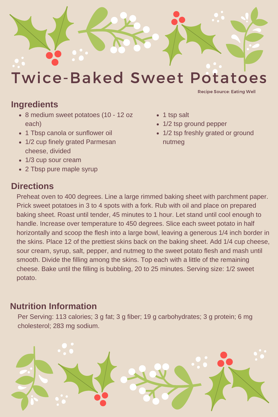

Twice-Baked Sweet Potatoes

#### **Ingredients**

- 8 medium sweet potatoes (10 12 oz each)
- 1 Tbsp canola or sunflower oil
- 1/2 cup finely grated Parmesan cheese, divided
- 1/3 cup sour cream
- 2 Tbsp pure maple syrup

#### **Directions**

- 1 tsp salt
- 1/2 tsp ground pepper
- 1/2 tsp freshly grated or ground nutmeg

Recipe Source: Eating Well

Preheat oven to 400 degrees. Line a large rimmed baking sheet with parchment paper. Prick sweet potatoes in 3 to 4 spots with a fork. Rub with oil and place on prepared baking sheet. Roast until tender, 45 minutes to 1 hour. Let stand until cool enough to handle. Increase over temperature to 450 degrees. Slice each sweet potato in half horizontally and scoop the flesh into a large bowl, leaving a generous 1/4 inch border in the skins. Place 12 of the prettiest skins back on the baking sheet. Add 1/4 cup cheese, sour cream, syrup, salt, pepper, and nutmeg to the sweet potato flesh and mash until smooth. Divide the filling among the skins. Top each with a little of the remaining cheese. Bake until the filling is bubbling, 20 to 25 minutes. Serving size: 1/2 sweet potato.

#### **Nutrition Information**

Per Serving: 113 calories; 3 g fat; 3 g fiber; 19 g carbohydrates; 3 g protein; 6 mg cholesterol; 283 mg sodium.

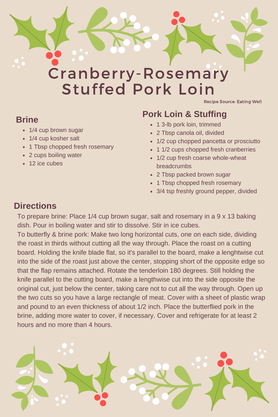

# Stuffed Pork Loin

Recipe Source: Eating Well

#### **Brine**

- 1/4 cup brown sugar
- 1/4 cup kosher salt
- 1 Tbsp chopped fresh rosemary
- 2 cups boiling water
- 12 ice cubes

# **Pork Loin & Stuffing**

- 1 3-lb pork loin, trimmed
- 2 Tbsp canola oil, divided
- 1/2 cup chopped pancetta or prosciutto
- 1 1/2 cups chopped fresh cranberries
- 1/2 cup fresh coarse whole-wheat breadcrumbs
- 2 Tbsp packed brown sugar
- 1 Tbsp chopped fresh rosemary
- 3/4 tsp freshly ground pepper, divided

# **Directions**

To prepare brine: Place 1/4 cup brown sugar, salt and rosemary in a 9 x 13 baking dish. Pour in boiling water and stir to dissolve. Stir in ice cubes.

To butterfly & brine pork: Make two long horizontal cuts, one on each side, dividing the roast in thirds without cutting all the way through. Place the roast on a cutting board. Holding the knife blade flat, so it's parallel to the board, make a lenghtwise cut into the side of the roast just above the center, stopping short of the opposite edge so that the flap remains attached. Rotate the tenderloin 180 degrees. Still holding the knife parallel to the cutting board, make a lengthwise cut into the side opposite the original cut, just below the center, taking care not to cut all the way through. Open up the two cuts so you have a large rectangle of meat. Cover with a sheet of plastic wrap and pound to an even thickness of about 1/2 inch. Place the butterflied pork in the brine, adding more water to cover, if necessary. Cover and refrigerate for at least 2 hours and no more than 4 hours.

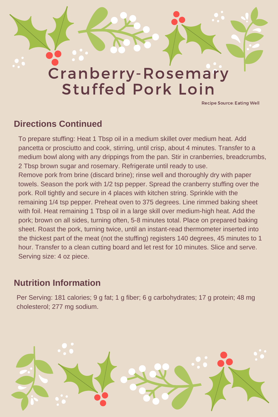# Cranberry-Rosemary Stuffed Pork Loin

Recipe Source: Eating Well

#### **Directions Continued**

To prepare stuffing: Heat 1 Tbsp oil in a medium skillet over medium heat. Add pancetta or prosciutto and cook, stirring, until crisp, about 4 minutes. Transfer to a medium bowl along with any drippings from the pan. Stir in cranberries, breadcrumbs, 2 Tbsp brown sugar and rosemary. Refrigerate until ready to use. Remove pork from brine (discard brine); rinse well and thoroughly dry with paper towels. Season the pork with 1/2 tsp pepper. Spread the cranberry stuffing over the pork. Roll tightly and secure in 4 places with kitchen string. Sprinkle with the remaining 1/4 tsp pepper. Preheat oven to 375 degrees. Line rimmed baking sheet with foil. Heat remaining 1 Tbsp oil in a large skill over medium-high heat. Add the pork; brown on all sides, turning often, 5-8 minutes total. Place on prepared baking sheet. Roast the pork, turning twice, until an instant-read thermometer inserted into the thickest part of the meat (not the stuffing) registers 140 degrees, 45 minutes to 1 hour. Transfer to a clean cutting board and let rest for 10 minutes. Slice and serve. Serving size: 4 oz piece.

### **Nutrition Information**

Per Serving: 181 calories; 9 g fat; 1 g fiber; 6 g carbohydrates; 17 g protein; 48 mg cholesterol; 277 mg sodium.

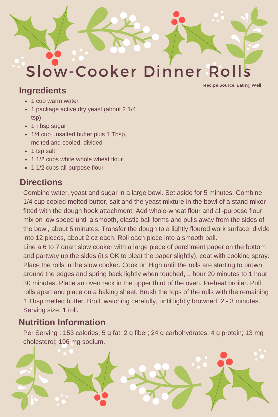

#### **Ingredients**

Recipe Source: Eating Well

- 1 cup warm water
- 1 package active dry yeast (about 2 1/4 tsp)
- 1 Tbsp sugar
- 1/4 cup unsalted butter plus 1 Tbsp, melted and cooled, divided
- 1 tsp salt
- 1 1/2 cups white whole wheat flour
- 1 1/2 cups all-purpose flour

## **Directions**

Combine water, yeast and sugar in a large bowl. Set aside for 5 minutes. Combine 1/4 cup cooled melted butter, salt and the yeast mixture in the bowl of a stand mixer fitted with the dough hook attachment. Add whole-wheat flour and all-purpose flour; mix on low speed until a smooth, elastic ball forms and pulls away from the sides of the bowl, about 5 minutes. Transfer the dough to a lightly floured work surface; divide into 12 pieces, about 2 oz each. Roll each piece into a smooth ball.

Line a 6 to 7 quart slow cooker with a large piece of parchment paper on the bottom and partway up the sides (it's OK to pleat the paper slightly); coat with cooking spray. Place the rolls in the slow cooker. Cook on High until the rolls are starting to brown around the edges and spring back lightly when touched, 1 hour 20 minutes to 1 hour 30 minutes. Place an oven rack in the upper third of the oven. Preheat broiler. Pull rolls apart and place on a baking sheet. Brush the tops of the rolls with the remaining 1 Tbsp melted butter. Broil, watching carefully, until lightly browned, 2 - 3 minutes. Serving size: 1 roll.

## **Nutrition Information**

Per Serving : 153 calories; 5 g fat; 2 g fiber; 24 g carbohydrates; 4 g protein; 13 mg cholesterol; 196 mg sodium.

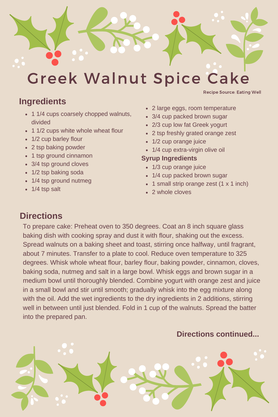

# Greek Walnut Spice Cake

#### **Ingredients**

- 1 1/4 cups coarsely chopped walnuts, divided
- 1 1/2 cups white whole wheat flour
- 1/2 cup barley flour
- 2 tsp baking powder
- 1 tsp ground cinnamon
- 3/4 tsp ground cloves
- 1/2 tsp baking soda
- 1/4 tsp ground nutmeg
- 1/4 tsp salt

• 2 large eggs, room temperature

Recipe Source: Eating Well

- 3/4 cup packed brown sugar
- 2/3 cup low fat Greek yogurt
- 2 tsp freshly grated orange zest
- 1/2 cup orange juice
- 1/4 cup extra-virgin olive oil

#### **Syrup Ingredients**

- 1/3 cup orange juice
- 1/4 cup packed brown sugar
- $\cdot$  1 small strip orange zest (1 x 1 inch)
- 2 whole cloves

#### **Directions**

To prepare cake: Preheat oven to 350 degrees. Coat an 8 inch square glass baking dish with cooking spray and dust it with flour, shaking out the excess. Spread walnuts on a baking sheet and toast, stirring once halfway, until fragrant, about 7 minutes. Transfer to a plate to cool. Reduce oven temperature to 325 degrees. Whisk whole wheat flour, barley flour, baking powder, cinnamon, cloves, baking soda, nutmeg and salt in a large bowl. Whisk eggs and brown sugar in a medium bowl until thoroughly blended. Combine yogurt with orange zest and juice in a small bowl and stir until smooth; gradually whisk into the egg mixture along with the oil. Add the wet ingredients to the dry ingredients in 2 additions, stirring well in between until just blended. Fold in 1 cup of the walnuts. Spread the batter into the prepared pan.

#### **Directions continued...**

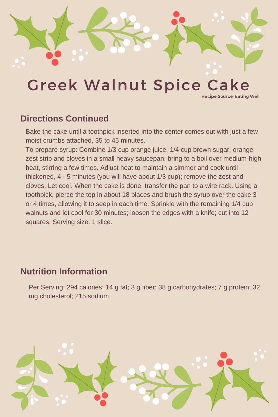

# Greek Walnut Spice Cake

Recipe Source: Eating Well

### **Directions Continued**

Bake the cake until a toothpick inserted into the center comes out with just a few moist crumbs attached, 35 to 45 minutes.

To prepare syrup: Combine 1/3 cup orange juice, 1/4 cup brown sugar, orange zest strip and cloves in a small heavy saucepan; bring to a boil over medium-high heat, stirring a few times. Adjust heat to maintain a simmer and cook until thickened, 4 - 5 minutes (you will have about 1/3 cup); remove the zest and cloves. Let cool. When the cake is done, transfer the pan to a wire rack. Using a toothpick, pierce the top in about 18 places and brush the syrup over the cake 3 or 4 times, allowing it to seep in each time. Sprinkle with the remaining 1/4 cup walnuts and let cool for 30 minutes; loosen the edges with a knife; cut into 12 squares. Serving size: 1 slice.

### **Nutrition Information**

Per Serving: 294 calories; 14 g fat; 3 g fiber; 38 g carbohydrates; 7 g protein; 32 mg cholesterol; 215 sodium.

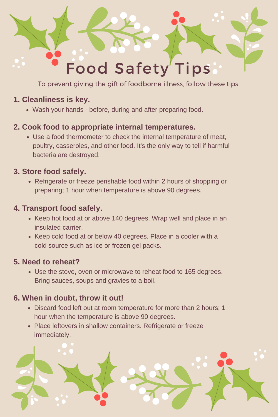

To prevent giving the gift of foodborne illness, follow these tips.

#### **1. Cleanliness is key.**

Wash your hands - before, during and after preparing food.

#### **2. Cook food to appropriate internal temperatures.**

Use a food thermometer to check the internal temperature of meat, poultry, casseroles, and other food. It's the only way to tell if harmful bacteria are destroyed.

#### **3. Store food safely.**

• Refrigerate or freeze perishable food within 2 hours of shopping or preparing; 1 hour when temperature is above 90 degrees.

#### **4. Transport food safely.**

- Keep hot food at or above 140 degrees. Wrap well and place in an insulated carrier.
- Keep cold food at or below 40 degrees. Place in a cooler with a cold source such as ice or frozen gel packs.

#### **5. Need to reheat?**

Use the stove, oven or microwave to reheat food to 165 degrees. Bring sauces, soups and gravies to a boil.

#### **6. When in doubt, throw it out!**

- Discard food left out at room temperature for more than 2 hours; 1 hour when the temperature is above 90 degrees.
- Place leftovers in shallow containers. Refrigerate or freeze immediately.